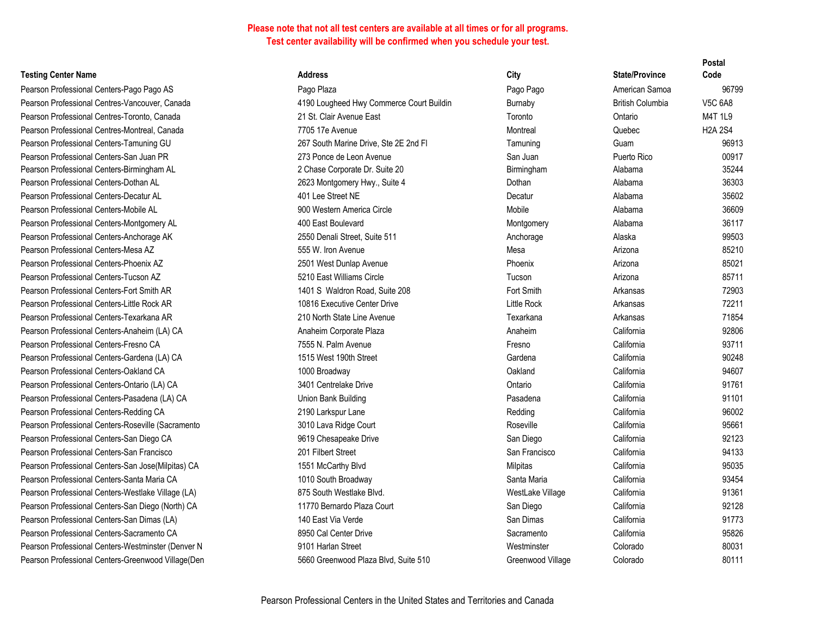#### **Testing Center Name Address Address Address**

Pearson Professional Centers-Pago Pago AS Pago Plaza Pago Pago American Samoa 96799 Pearson Professional Centres-Vancouver, Canada **190** Australia Huy Commerce Court Buildin Burnas VI 6A88 Pearson Professional Centres-Toronto. Canada 21 St. 21 St. Pearson Professional Centres-Montreal, Canada 7705 Pearson Professional Centers-Tamuning GU 267 S Pearson Professional Centers-San Juan PR 273 Ponce 1997 8 Pearson Professional Centers-Birmingham AL 2 Cha Pearson Professional Centers-Dothan AL 2623 Pearson Professional Centers-Decatur AL 401 L Pearson Professional Centers-Mobile AL 900 W Pearson Professional Centers-Montgomery AL 400 E Pearson Professional Centers-Anchorage AK 2550 Pearson Professional Centers-Mesa AZ 555 W. Iron Avenue Mesa Arizona 85210 Pearson Professional Centers-Phoenix A7 2501 2501 Pearson Professional Centers-Tucson AZ 5210 Pearson Professional Centers-Fort Smith AR 1401 Pearson Professional Centers-Little Rock AR 10816 Executive Center 210816 Pearson Professional Centers-Texarkana AR 210 North State Line Avenue Texarkana AR Pearson Professional Centers-Anaheim (LA) CA Anaheim Corporate Plaza Anaheim CA Pearson Professional Centers-Fresno CA 7555 Pearson Professional Centers-Gardena (LA) CA 1515 Pearson Professional Centers-Oakland CA 1000 Broadway Oakland CA Pearson Professional Centers-Ontario (LA) CA 3401 Pearson Professional Centers-Pasadena (LA) CA Union Pearson Professional Centers-Redding CA 2190 Pearson Professional Centers-Roseville (Sacramento 3010 Pearson Professional Centers-San Diego CA 9619 Pearson Professional Centers-San Francisco 201 F Pearson Professional Centers-San Jose (Milpitas) CA 1551 Pearson Professional Centers-Santa Maria CA 1010 1010 Pearson Professional Centers-Westlake Village (LA) 875 S Pearson Professional Centers-San Diego (North) CA 11770 Bernardo Plaza Court San Diego Court San Diego California 921288 Pearson Professional Centers-San Dimas (LA) 140 E Pearson Professional Centers-Sacramento CA 8950 Pearson Professional Centers-Westminster (Denver N 9101 Pearson Professional Centers-Greenwood Village (Den 5660 Greenwood Plaza Blvd, Suite 5660

| ess                                 | City              | <b>State/Province</b>   | Code           |
|-------------------------------------|-------------------|-------------------------|----------------|
| Plaza                               | Pago Pago         | American Samoa          | 96799          |
| Lougheed Hwy Commerce Court Buildin | Burnaby           | <b>British Columbia</b> | <b>V5C 6A8</b> |
| . Clair Avenue East                 | Toronto           | Ontario                 | <b>M4T 1L9</b> |
| 17e Avenue                          | Montreal          | Quebec                  | <b>H2A 2S4</b> |
| South Marine Drive, Ste 2E 2nd Fl   | Tamuning          | Guam                    | 96913          |
| Ponce de Leon Avenue                | San Juan          | Puerto Rico             | 00917          |
| ase Corporate Dr. Suite 20          | Birmingham        | Alabama                 | 35244          |
| Montgomery Hwy., Suite 4            | Dothan            | Alabama                 | 36303          |
| ee Street NE                        | Decatur           | Alabama                 | 35602          |
| Vestern America Circle              | Mobile            | Alabama                 | 36609          |
| East Boulevard                      | Montgomery        | Alabama                 | 36117          |
| Denali Street, Suite 511            | Anchorage         | Alaska                  | 99503          |
| V. Iron Avenue                      | Mesa              | Arizona                 | 85210          |
| West Dunlap Avenue                  | Phoenix           | Arizona                 | 85021          |
| <b>East Williams Circle</b>         | Tucson            | Arizona                 | 85711          |
| S Waldron Road, Suite 208           | Fort Smith        | Arkansas                | 72903          |
| 6 Executive Center Drive            | Little Rock       | Arkansas                | 72211          |
| Jorth State Line Avenue             | Texarkana         | Arkansas                | 71854          |
| eim Corporate Plaza                 | Anaheim           | California              | 92806          |
| N. Palm Avenue                      | Fresno            | California              | 93711          |
| West 190th Street                   | Gardena           | California              | 90248          |
| Broadway                            | Oakland           | California              | 94607          |
| Centrelake Drive                    | Ontario           | California              | 91761          |
| Bank Building                       | Pasadena          | California              | 91101          |
| Larkspur Lane                       | Redding           | California              | 96002          |
| Lava Ridge Court                    | Roseville         | California              | 95661          |
| Chesapeake Drive                    | San Diego         | California              | 92123          |
| ilbert Street                       | San Francisco     | California              | 94133          |
| McCarthy Blvd                       | Milpitas          | California              | 95035          |
| South Broadway                      | Santa Maria       | California              | 93454          |
| South Westlake Blvd.                | WestLake Village  | California              | 91361          |
| 0 Bernardo Plaza Court              | San Diego         | California              | 92128          |
| East Via Verde                      | San Dimas         | California              | 91773          |
| <b>Cal Center Drive</b>             | Sacramento        | California              | 95826          |
| Harlan Street                       | Westminster       | Colorado                | 80031          |
| Greenwood Plaza Blvd, Suite 510     | Greenwood Village | Colorado                | 80111          |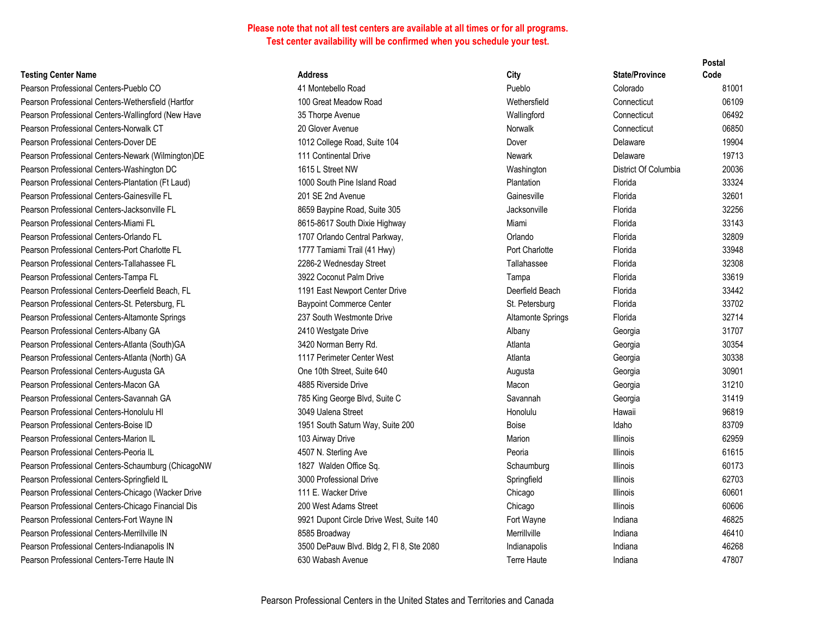#### **Testing Center Name <b>Address Address Address**

Pearson Professional Centers-Pueblo CO 41 Montes 41 Montes Pearson Professional Centers-Wethersfield (Hartfor 100 Great Measurement of Meadow Road Wetherstein 06109 Gre Pearson Professional Centers-Wallingford (New Have 35 Thorpe Avenue Wallingford Connecticut 064922 Pearson Professional Centers-Norwalk CT 20 Gloven Avenue Norwalk Connecticut 068500 Pearson Professional Centers-Dover DE 1012 College Road, Suite 1012 College Road, Suite 104 Dover De Pearson Professional Centers-Newark (Wilmington)DE 111 Continents Pearson Professional Centers-Washington DC 1615 L Pearson Professional Centers-Plantation (Ft Laud) 1000 South Professional Centers-Plantation (Ft Laud) Pearson Professional Centers-Gainesville FL 201 SE Pearson Professional Centers-Jacksonville FL 8659 Bay Pearson Professional Centers-Miami FL 8615-8615-8615-8615-8615 Pearson Professional Centers-Orlando FL 1707 Orlando 328099 Pearson Professional Centers-Port Charlotte Florida 34 Hwy 1777 Tamiami Trail (41 Hwy) Port Charlotte Florida 33 Pearson Professional Centers-Tallahassee FL 3286-2 Pearson Professional Centers-Tampa FL 3922 Coconut Palm Drive Tampa Florida 33622 Coconu Pearson Professional Centers-Deerfield Beach, FL 1191 East New 2019 1191 East New 2019 Pearson Professional Centers-St. Petersburg, FL Baypoint Commerce Center St. Petersburg, FL Pearson Professional Centers-Altamonte Springs **237 South Westman** 237 South Westman 32714 Pearson Professional Centers-Albany GA 2410 W Pearson Professional Centers-Atlanta (South)GA 3420 N Pearson Professional Centers-Atlanta (North) GA 1117 Pe Pearson Professional Centers-Augusta GA **Canadian Street, Suite 640** Cone 10th Street, Suite 640 Augusta 3090101 Pearson Professional Centers-Macon GA 4885 Riverside Macon Georgia 31210 Macon 4885 Riverside Macon Georgia 31210 Pearson Professional Centers-Savannah GA 785 King George Blvd, Suite C Savannah G Pearson Professional Centers-Honolulu HI 3049 Ualena Street Honorate Street Honorate Street Honorate Street Ho Pearson Professional Centers-Boise ID 1951 South Saturn Way, Suite 200 Boise 1951 South School 83709 Pearson Professional Centers-Marion IL 103 Airway Drive Marion 103 Air Pearson Professional Centers-Peoria IL 4507 N. Pearson Professional Centers-Schaumburg (ChicagoNW 1827 W Pearson Professional Centers-Springfield IL 3000 Professional Drive Springfield IL Pearson Professional Centers-Chicago (Wacker Drive 111 E. Pearson Professional Centers-Chicago Financial Dis 200 West Adams 200 West Adams Adams Adams Street Chicago I Pearson Professional Centers-Fort Wayne IN 9921 Dupont Circle Drive West, Suite 140 Fort Wayne IN Pearson Professional Centers-Merrillville IN 8585 Broadway Merrilly Merrilly Merrilly Merrilly Merrilly Merrill Pearson Professional Centers-Indianapolis IN 3500 D Pearson Professional Centers-Terre Haute IN 630 Wa

|                                    |                   |                       | Postal |
|------------------------------------|-------------------|-----------------------|--------|
| S:                                 | City              | <b>State/Province</b> | Code   |
| tebello Road                       | Pueblo            | Colorado              | 81001  |
| eat Meadow Road                    | Wethersfield      | Connecticut           | 06109  |
| rpe Avenue                         | Wallingford       | Connecticut           | 06492  |
| rer Avenue                         | Norwalk           | Connecticut           | 06850  |
| ollege Road, Suite 104             | Dover             | Delaware              | 19904  |
| ntinental Drive                    | Newark            | Delaware              | 19713  |
| <b>Street NW</b>                   | Washington        | District Of Columbia  | 20036  |
| outh Pine Island Road              | Plantation        | Florida               | 33324  |
| 2nd Avenue                         | Gainesville       | Florida               | 32601  |
| aypine Road, Suite 305             | Jacksonville      | Florida               | 32256  |
| 617 South Dixie Highway            | Miami             | Florida               | 33143  |
| rlando Central Parkway,            | Orlando           | Florida               | 32809  |
| amiami Trail (41 Hwy)              | Port Charlotte    | Florida               | 33948  |
| <b>Wednesday Street</b>            | Tallahassee       | Florida               | 32308  |
| oconut Palm Drive                  | Tampa             | Florida               | 33619  |
| ast Newport Center Drive           | Deerfield Beach   | Florida               | 33442  |
| nt Commerce Center                 | St. Petersburg    | Florida               | 33702  |
| uth Westmonte Drive                | Altamonte Springs | Florida               | 32714  |
| estgate Drive                      | Albany            | Georgia               | 31707  |
| orman Berry Rd.                    | Atlanta           | Georgia               | 30354  |
| erimeter Center West               | Atlanta           | Georgia               | 30338  |
| th Street, Suite 640               | Augusta           | Georgia               | 30901  |
| iverside Drive                     | Macon             | Georgia               | 31210  |
| g George Blvd, Suite C             | Savannah          | Georgia               | 31419  |
| alena Street                       | Honolulu          | Hawaii                | 96819  |
| outh Saturn Way, Suite 200         | Boise             | Idaho                 | 83709  |
| way Drive                          | Marion            | <b>Illinois</b>       | 62959  |
| . Sterling Ave                     | Peoria            | <b>Illinois</b>       | 61615  |
| Valden Office Sq.                  | Schaumburg        | <b>Illinois</b>       | 60173  |
| rofessional Drive                  | Springfield       | <b>Illinois</b>       | 62703  |
| Wacker Drive                       | Chicago           | <b>Illinois</b>       | 60601  |
| est Adams Street                   | Chicago           | <b>Illinois</b>       | 60606  |
| upont Circle Drive West, Suite 140 | Fort Wayne        | Indiana               | 46825  |
| roadway                            | Merrillville      | Indiana               | 46410  |
| ePauw Blvd. Bldg 2, Fl 8, Ste 2080 | Indianapolis      | Indiana               | 46268  |
| ibash Avenue                       | Terre Haute       | Indiana               | 47807  |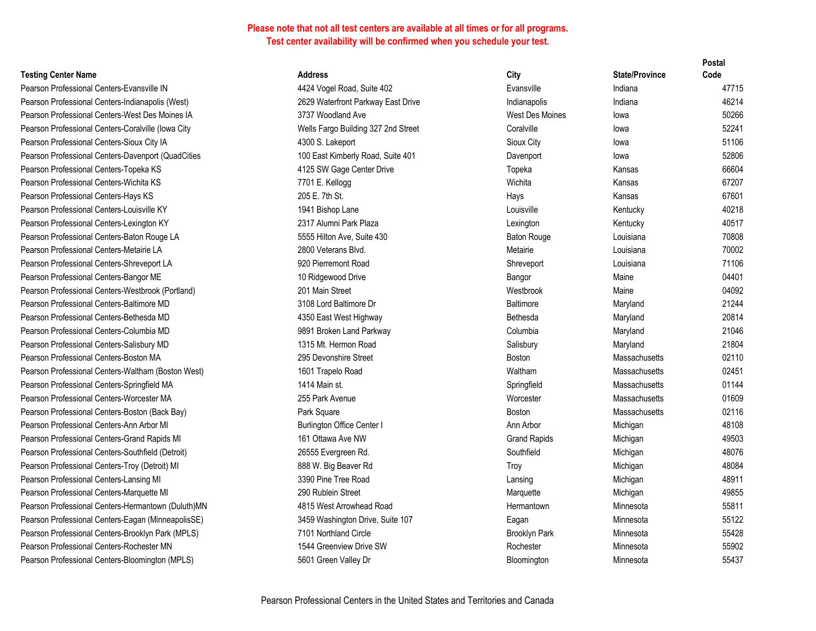#### **Testing Center Name <b>Address Address**

Pearson Professional Centers-Evansville IN 4424 Vogel Road, 602 Europe 4424 Vogel Road, Suite 402 Evansville IN Pearson Professional Centers-Indianapolis (West) 2629 Waterfront Parkway East Drive Indiana 46214 Pearson Professional Centers-West Des Moines IA 3737 Woodland Pearson Professional Centers-Coralville (Iowa City Wells Fargo Building 327 2nd Street Coralville Iowa 521 2nd Street Coralville Iowa 521 2nd Street Coralville Intervention 32241 2nd Street Coralville Intervention 322412 2 Pearson Professional Centers-Sioux City IA 4300 S. Lakeport 31300 S. Lakeport Sioux City IA Pearson Professional Centers-Davenport (QuadCities 100 East Kimberly Road, Suite 401 Davenport Iowa 528066 Pearson Professional Centers-Topeka KS 4125 SW Gage Pearson Professional Centers-Wichita KS 7701 E. Kellogg Pearson Professional Centers-Hays KS 205 E. 7th St. Pearson Professional Centers-Louisville KY 1941 Bishop Lane 1941 Bishop Lane Louisville KY Pearson Professional Centers-Lexington KY 2317 Alumni Park Plaza Lexington KY Pearson Professional Centers-Baton Rouge LA 5555 Hilton Ave Pearson Professional Centers-Metairie LA 2800 Veterans 2800 Veterans Pearson Professional Centers-Shreveport LA 920 Pierremont Pearson Professional Centers-Bangor ME 10 Ridgewood 10 Ridgewood Pearson Professional Centers-Westbrook (Portland) 201 Main Street Pearson Professional Centers-Baltimore MD 3108 Lord Baltimore MD Pearson Professional Centers-Bethesda MD 4350 Fast West Pearson Professional Centers-Columbia MD 9891 Broken Land Parkway Columbia Maryland 2004 Pearson Professional Centers-Salisbury MD 1315 Mt. Hermon Road Salisbury Maryland 2015 Mt. Hermon Road Salisbury M Pearson Professional Centers-Boston MA 295 Devonshire Street Boston Massachusetts 02110 1295 Devonshire Pearson Professional Centers-Waltham (Boston West) 1601 Trapelo R Pearson Professional Centers-Springfield MA 1414 Main st. Pearson Professional Centers-Worcester MA 255 Park Avenue Worcester Massachusetts 016099 Pearson Professional Centers-Boston (Back Bay) Park Square Boston Massachusetts Park Square Pearson Professional Centers-Ann Arbor MI Burlington Office Center I Ann Arbor Michigan 48108810810810810810810 Pearson Professional Centers-Grand Rapids MI 161 Ottawa Ave Pearson Professional Centers-Southfield (Detroit) 26555 Evergreen Rearson Roses Pearson Professional Centers-Troy (Detroit) MI 888 W. Big Bearer Research Assembly Michigan 48084 W. Pearson Professional Centers-Lansing MI 3390 Pine Tree Pearson Professional Centers-Marquette MI 290 Rublein Str Pearson Professional Centers-Hermantown (Duluth)MN 4815 West Arrowhead A Pearson Professional Centers-Eagan (MinneapolisSE) 3459 Washington Drive, Suite 107 Eagan Minnesota 5 Pearson Professional Centers-Brooklyn Park (MPLS) 7101 Northland Pearson Professional Centers-Rochester MN 1544 Greenview 1544 Greenview Pearson Professional Centers-Bloomington (MPLS) 5601 Green Valley Bloomington Minnesota 5601 Green Valley

|                       | City                 | <b>State/Province</b> | Code  |
|-----------------------|----------------------|-----------------------|-------|
| ad, Suite 402         | Evansville           | Indiana               | 47715 |
| t Parkway East Drive  | Indianapolis         | Indiana               | 46214 |
| l Ave                 | West Des Moines      | lowa                  | 50266 |
| ilding 327 2nd Street | Coralville           | lowa                  | 52241 |
| эrt                   | Sioux City           | lowa                  | 51106 |
| erly Road, Suite 401  | Davenport            | lowa                  | 52806 |
| Center Drive          | Topeka               | Kansas                | 66604 |
|                       | Wichita              | Kansas                | 67207 |
|                       | Hays                 | Kansas                | 67601 |
| ine                   | Louisville           | Kentucky              | 40218 |
| ark Plaza             | Lexington            | Kentucky              | 40517 |
| ะ. Suite 430          | <b>Baton Rouge</b>   | Louisiana             | 70808 |
| Blvd.                 | Metairie             | Louisiana             | 70002 |
| : Road                | Shreveport           | Louisiana             | 71106 |
| Drive                 | Bangor               | Maine                 | 04401 |
| t                     | Westbrook            | Maine                 | 04092 |
| more Dr               | <b>Baltimore</b>     | Maryland              | 21244 |
| t Highway             | <b>Bethesda</b>      | Maryland              | 20814 |
| and Parkway           | Columbia             | Maryland              | 21046 |
| on Road               | Salisbury            | Maryland              | 21804 |
| Street ؛              | <b>Boston</b>        | <b>Massachusetts</b>  | 02110 |
| oad:                  | Waltham              | <b>Massachusetts</b>  | 02451 |
|                       | Springfield          | <b>Massachusetts</b>  | 01144 |
| лe                    | Worcester            | <b>Massachusetts</b>  | 01609 |
|                       | <b>Boston</b>        | <b>Massachusetts</b>  | 02116 |
| e Center I            | Ann Arbor            | Michigan              | 48108 |
| WN e                  | <b>Grand Rapids</b>  | Michigan              | 49503 |
| en Rd.                | Southfield           | Michigan              | 48076 |
| ıver Rd               | Troy                 | Michigan              | 48084 |
| Road                  | Lansing              | Michigan              | 48911 |
| eet                   | Marquette            | Michigan              | 49855 |
| whead Road            | Hermantown           | Minnesota             | 55811 |
| on Drive, Suite 107   | Eagan                | Minnesota             | 55122 |
| Circle                | <b>Brooklyn Park</b> | Minnesota             | 55428 |
| ี <i>w</i> Drive SW   | Rochester            | Minnesota             | 55902 |
| lley Dr               | Bloomington          | Minnesota             | 55437 |
|                       |                      |                       |       |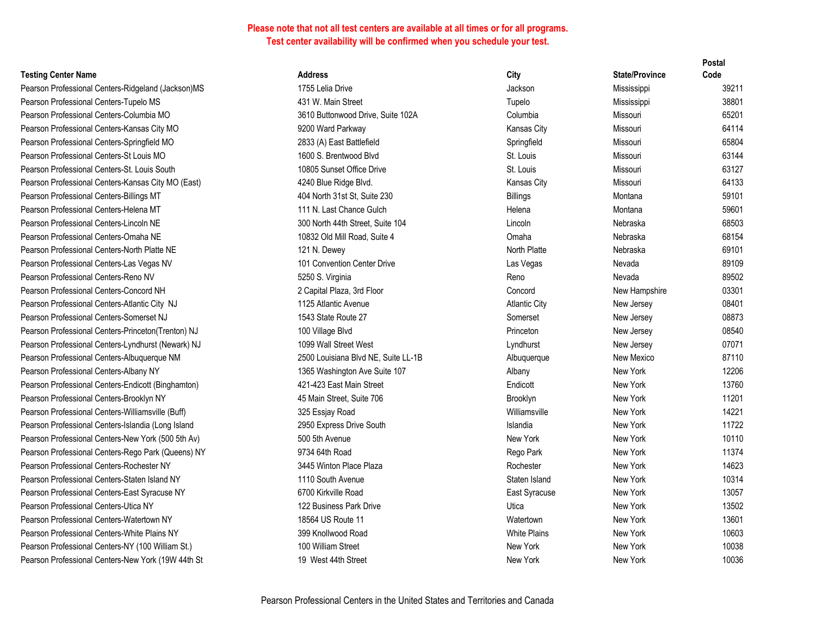| <b>Testing Center Name</b> |  |  |
|----------------------------|--|--|
|----------------------------|--|--|

|                                                    |                                     |                      |                       | r νəιαι |
|----------------------------------------------------|-------------------------------------|----------------------|-----------------------|---------|
| <b>Testing Center Name</b>                         | <b>Address</b>                      | City                 | <b>State/Province</b> | Code    |
| Pearson Professional Centers-Ridgeland (Jackson)MS | 1755 Lelia Drive                    | Jackson              | Mississippi           | 39211   |
| Pearson Professional Centers-Tupelo MS             | 431 W. Main Street                  | Tupelo               | Mississippi           | 38801   |
| Pearson Professional Centers-Columbia MO           | 3610 Buttonwood Drive, Suite 102A   | Columbia             | Missouri              | 65201   |
| Pearson Professional Centers-Kansas City MO        | 9200 Ward Parkway                   | Kansas City          | Missouri              | 64114   |
| Pearson Professional Centers-Springfield MO        | 2833 (A) East Battlefield           | Springfield          | Missouri              | 65804   |
| Pearson Professional Centers-St Louis MO           | 1600 S. Brentwood Blyd              | St. Louis            | Missouri              | 63144   |
| Pearson Professional Centers-St. Louis South       | 10805 Sunset Office Drive           | St. Louis            | Missouri              | 63127   |
| Pearson Professional Centers-Kansas City MO (East) | 4240 Blue Ridge Blvd.               | Kansas City          | Missouri              | 64133   |
| Pearson Professional Centers-Billings MT           | 404 North 31st St, Suite 230        | <b>Billings</b>      | Montana               | 59101   |
| Pearson Professional Centers-Helena MT             | 111 N. Last Chance Gulch            | Helena               | Montana               | 59601   |
| Pearson Professional Centers-Lincoln NE            | 300 North 44th Street, Suite 104    | Lincoln              | Nebraska              | 68503   |
| Pearson Professional Centers-Omaha NE              | 10832 Old Mill Road, Suite 4        | Omaha                | Nebraska              | 68154   |
| Pearson Professional Centers-North Platte NE       | 121 N. Dewey                        | North Platte         | Nebraska              | 69101   |
| Pearson Professional Centers-Las Vegas NV          | 101 Convention Center Drive         | Las Vegas            | Nevada                | 89109   |
| Pearson Professional Centers-Reno NV               | 5250 S. Virginia                    | Reno                 | Nevada                | 89502   |
| Pearson Professional Centers-Concord NH            | 2 Capital Plaza, 3rd Floor          | Concord              | New Hampshire         | 03301   |
| Pearson Professional Centers-Atlantic City NJ      | 1125 Atlantic Avenue                | <b>Atlantic City</b> | New Jersey            | 08401   |
| Pearson Professional Centers-Somerset NJ           | 1543 State Route 27                 | Somerset             | New Jersey            | 08873   |
| Pearson Professional Centers-Princeton(Trenton) NJ | 100 Village Blvd                    | Princeton            | New Jersey            | 08540   |
| Pearson Professional Centers-Lyndhurst (Newark) NJ | 1099 Wall Street West               | Lyndhurst            | New Jersey            | 07071   |
| Pearson Professional Centers-Albuquerque NM        | 2500 Louisiana Blvd NE, Suite LL-1B | Albuquerque          | New Mexico            | 87110   |
| Pearson Professional Centers-Albany NY             | 1365 Washington Ave Suite 107       | Albany               | New York              | 12206   |
| Pearson Professional Centers-Endicott (Binghamton) | 421-423 East Main Street            | Endicott             | New York              | 13760   |
| Pearson Professional Centers-Brooklyn NY           | 45 Main Street, Suite 706           | Brooklyn             | New York              | 11201   |
| Pearson Professional Centers-Williamsville (Buff)  | 325 Essjay Road                     | Williamsville        | New York              | 14221   |
| Pearson Professional Centers-Islandia (Long Island | 2950 Express Drive South            | Islandia             | New York              | 11722   |
| Pearson Professional Centers-New York (500 5th Av) | 500 5th Avenue                      | New York             | New York              | 10110   |
| Pearson Professional Centers-Rego Park (Queens) NY | 9734 64th Road                      | Rego Park            | New York              | 11374   |
| Pearson Professional Centers-Rochester NY          | 3445 Winton Place Plaza             | Rochester            | New York              | 14623   |
| Pearson Professional Centers-Staten Island NY      | 1110 South Avenue                   | Staten Island        | New York              | 10314   |
| Pearson Professional Centers-East Syracuse NY      | 6700 Kirkville Road                 | East Syracuse        | New York              | 13057   |
| Pearson Professional Centers-Utica NY              | 122 Business Park Drive             | Utica                | New York              | 13502   |
| Pearson Professional Centers-Watertown NY          | 18564 US Route 11                   | Watertown            | New York              | 13601   |
| Pearson Professional Centers-White Plains NY       | 399 Knollwood Road                  | <b>White Plains</b>  | New York              | 10603   |
| Pearson Professional Centers-NY (100 William St.)  | 100 William Street                  | New York             | New York              | 10038   |
| Pearson Professional Centers-New York (19W 44th St | 19 West 44th Street                 | New York             | New York              | 10036   |
|                                                    |                                     |                      |                       |         |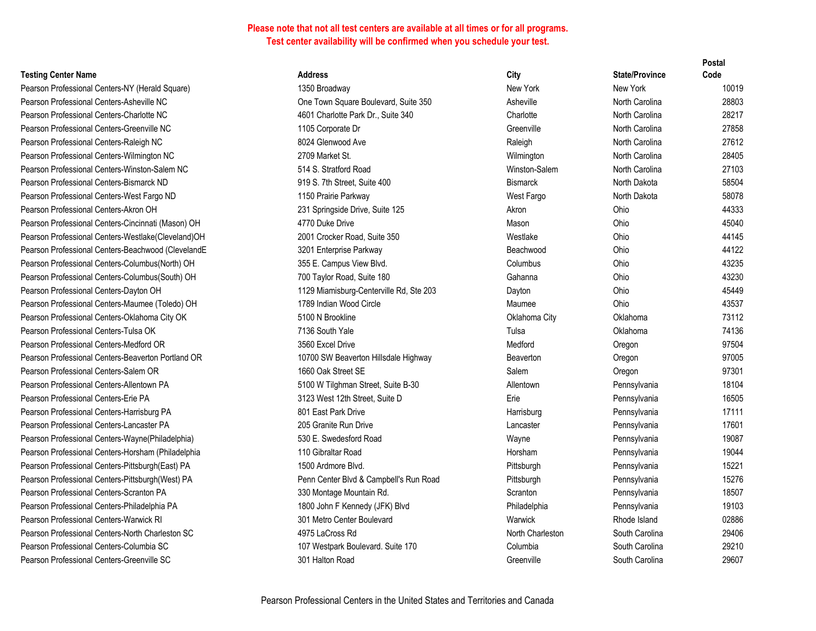#### **Testing Center Name**

Pearson Professional Centers-NY (Herald Square) Pearson Professional Centers-Asheville NC Pearson Professional Centers-Charlotte NC Pearson Professional Centers-Greenville NC Pearson Professional Centers-Raleigh NC Pearson Professional Centers-Wilmington NC Pearson Professional Centers-Winston-Salem NC Pearson Professional Centers-Bismarck ND Pearson Professional Centers-West Fargo ND Pearson Professional Centers-Akron OH Pearson Professional Centers-Cincinnati (Mason) OH Pearson Professional Centers-Westlake(Cleveland)OH Pearson Professional Centers-Beachwood (ClevelandE Pearson Professional Centers-Columbus (North) OH Pearson Professional Centers-Columbus(South) OH Pearson Professional Centers-Dayton OH Pearson Professional Centers-Maumee (Toledo) OH Pearson Professional Centers-Oklahoma City OK Pearson Professional Centers-Tulsa OK Pearson Professional Centers-Medford OR Pearson Professional Centers-Beaverton Portland OR Pearson Professional Centers-Salem OR Pearson Professional Centers-Allentown PA Pearson Professional Centers-Erie PA Pearson Professional Centers-Harrisburg PA Pearson Professional Centers-Lancaster PA Pearson Professional Centers-Wayne (Philadelphia) Pearson Professional Centers-Horsham (Philadelphia Pearson Professional Centers-Pittsburgh (East) PA Pearson Professional Centers-Pittsburgh(West) PA Pearson Professional Centers-Scranton PA Pearson Professional Centers-Philadelphia PA Pearson Professional Centers-Warwick RI Pearson Professional Centers-North Charleston SC Pearson Professional Centers-Columbia SC Pearson Professional Centers-Greenville SC

| <b>Address</b>                          | City             | <b>State/Province</b> | Code  |
|-----------------------------------------|------------------|-----------------------|-------|
| 1350 Broadway                           | New York         | New York              | 10019 |
| One Town Square Boulevard, Suite 350    | Asheville        | North Carolina        | 28803 |
| 4601 Charlotte Park Dr., Suite 340      | Charlotte        | North Carolina        | 28217 |
| 1105 Corporate Dr                       | Greenville       | North Carolina        | 27858 |
| 8024 Glenwood Ave                       | Raleigh          | North Carolina        | 27612 |
| 2709 Market St.                         | Wilmington       | North Carolina        | 28405 |
| 514 S. Stratford Road                   | Winston-Salem    | North Carolina        | 27103 |
| 919 S. 7th Street, Suite 400            | <b>Bismarck</b>  | North Dakota          | 58504 |
| 1150 Prairie Parkway                    | West Fargo       | North Dakota          | 58078 |
| 231 Springside Drive, Suite 125         | Akron            | Ohio                  | 44333 |
| 4770 Duke Drive                         | Mason            | Ohio                  | 45040 |
| 2001 Crocker Road, Suite 350            | Westlake         | Ohio                  | 44145 |
| 3201 Enterprise Parkway                 | Beachwood        | Ohio                  | 44122 |
| 355 E. Campus View Blvd.                | Columbus         | Ohio                  | 43235 |
| 700 Taylor Road, Suite 180              | Gahanna          | Ohio                  | 43230 |
| 1129 Miamisburg-Centerville Rd, Ste 203 | Dayton           | Ohio                  | 45449 |
| 1789 Indian Wood Circle                 | Maumee           | Ohio                  | 43537 |
| 5100 N Brookline                        | Oklahoma City    | Oklahoma              | 73112 |
| 7136 South Yale                         | Tulsa            | Oklahoma              | 74136 |
| 3560 Excel Drive                        | Medford          | Oregon                | 97504 |
| 10700 SW Beaverton Hillsdale Highway    | Beaverton        | Oregon                | 97005 |
| 1660 Oak Street SE                      | Salem            | Oregon                | 97301 |
| 5100 W Tilghman Street, Suite B-30      | Allentown        | Pennsylvania          | 18104 |
| 3123 West 12th Street, Suite D          | Erie             | Pennsylvania          | 16505 |
| 801 East Park Drive                     | Harrisburg       | Pennsylvania          | 17111 |
| 205 Granite Run Drive                   | Lancaster        | Pennsylvania          | 17601 |
| 530 E. Swedesford Road                  | Wayne            | Pennsylvania          | 19087 |
| 110 Gibraltar Road                      | Horsham          | Pennsylvania          | 19044 |
| 1500 Ardmore Blvd.                      | Pittsburgh       | Pennsylvania          | 15221 |
| Penn Center Blvd & Campbell's Run Road  | Pittsburgh       | Pennsylvania          | 15276 |
| 330 Montage Mountain Rd.                | Scranton         | Pennsylvania          | 18507 |
| 1800 John F Kennedy (JFK) Blvd          | Philadelphia     | Pennsylvania          | 19103 |
| 301 Metro Center Boulevard              | Warwick          | Rhode Island          | 02886 |
| 4975 LaCross Rd                         | North Charleston | South Carolina        | 29406 |
| 107 Westpark Boulevard. Suite 170       | Columbia         | South Carolina        | 29210 |
| 301 Halton Road                         | Greenville       | South Carolina        | 29607 |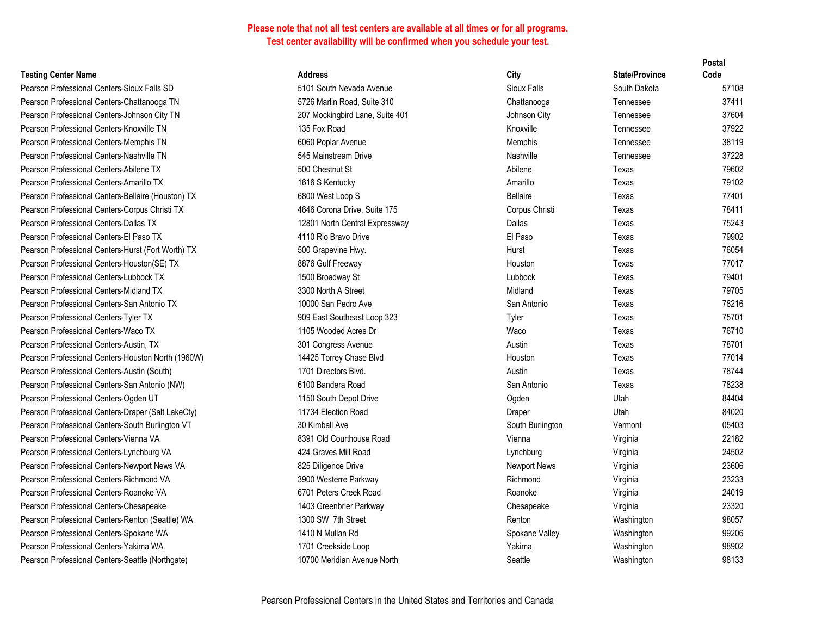| <b>Festing Center Name</b> |  |
|----------------------------|--|
|                            |  |

|                                                    |                                 |                  |                       | ι υσια |
|----------------------------------------------------|---------------------------------|------------------|-----------------------|--------|
| <b>Testing Center Name</b>                         | <b>Address</b>                  | City             | <b>State/Province</b> | Code   |
| Pearson Professional Centers-Sioux Falls SD        | 5101 South Nevada Avenue        | Sioux Falls      | South Dakota          | 57108  |
| Pearson Professional Centers-Chattanooga TN        | 5726 Marlin Road, Suite 310     | Chattanooga      | Tennessee             | 37411  |
| Pearson Professional Centers-Johnson City TN       | 207 Mockingbird Lane, Suite 401 | Johnson City     | Tennessee             | 37604  |
| Pearson Professional Centers-Knoxville TN          | 135 Fox Road                    | Knoxville        | Tennessee             | 37922  |
| Pearson Professional Centers-Memphis TN            | 6060 Poplar Avenue              | Memphis          | Tennessee             | 38119  |
| Pearson Professional Centers-Nashville TN          | 545 Mainstream Drive            | Nashville        | Tennessee             | 37228  |
| Pearson Professional Centers-Abilene TX            | 500 Chestnut St                 | Abilene          | Texas                 | 79602  |
| Pearson Professional Centers-Amarillo TX           | 1616 S Kentucky                 | Amarillo         | Texas                 | 79102  |
| Pearson Professional Centers-Bellaire (Houston) TX | 6800 West Loop S                | <b>Bellaire</b>  | Texas                 | 77401  |
| Pearson Professional Centers-Corpus Christi TX     | 4646 Corona Drive, Suite 175    | Corpus Christi   | Texas                 | 78411  |
| Pearson Professional Centers-Dallas TX             | 12801 North Central Expressway  | Dallas           | Texas                 | 75243  |
| Pearson Professional Centers-El Paso TX            | 4110 Rio Bravo Drive            | El Paso          | Texas                 | 79902  |
| Pearson Professional Centers-Hurst (Fort Worth) TX | 500 Grapevine Hwy.              | Hurst            | Texas                 | 76054  |
| Pearson Professional Centers-Houston(SE) TX        | 8876 Gulf Freeway               | Houston          | Texas                 | 77017  |
| Pearson Professional Centers-Lubbock TX            | 1500 Broadway St                | Lubbock          | Texas                 | 79401  |
| Pearson Professional Centers-Midland TX            | 3300 North A Street             | Midland          | Texas                 | 79705  |
| Pearson Professional Centers-San Antonio TX        | 10000 San Pedro Ave             | San Antonio      | Texas                 | 78216  |
| Pearson Professional Centers-Tyler TX              | 909 East Southeast Loop 323     | Tyler            | Texas                 | 75701  |
| Pearson Professional Centers-Waco TX               | 1105 Wooded Acres Dr            | Waco             | Texas                 | 76710  |
| Pearson Professional Centers-Austin, TX            | 301 Congress Avenue             | Austin           | Texas                 | 78701  |
| Pearson Professional Centers-Houston North (1960W) | 14425 Torrey Chase Blvd         | Houston          | Texas                 | 77014  |
| Pearson Professional Centers-Austin (South)        | 1701 Directors Blvd.            | Austin           | Texas                 | 78744  |
| Pearson Professional Centers-San Antonio (NW)      | 6100 Bandera Road               | San Antonio      | Texas                 | 78238  |
| Pearson Professional Centers-Ogden UT              | 1150 South Depot Drive          | Ogden            | Utah                  | 84404  |
| Pearson Professional Centers-Draper (Salt LakeCty) | 11734 Election Road             | Draper           | Utah                  | 84020  |
| Pearson Professional Centers-South Burlington VT   | 30 Kimball Ave                  | South Burlington | Vermont               | 05403  |
| Pearson Professional Centers-Vienna VA             | 8391 Old Courthouse Road        | Vienna           | Virginia              | 22182  |
| Pearson Professional Centers-Lynchburg VA          | 424 Graves Mill Road            | Lynchburg        | Virginia              | 24502  |
| Pearson Professional Centers-Newport News VA       | 825 Diligence Drive             | Newport News     | Virginia              | 23606  |
| Pearson Professional Centers-Richmond VA           | 3900 Westerre Parkway           | Richmond         | Virginia              | 23233  |
| Pearson Professional Centers-Roanoke VA            | 6701 Peters Creek Road          | Roanoke          | Virginia              | 24019  |
| Pearson Professional Centers-Chesapeake            | 1403 Greenbrier Parkway         | Chesapeake       | Virginia              | 23320  |
| Pearson Professional Centers-Renton (Seattle) WA   | 1300 SW 7th Street              | Renton           | Washington            | 98057  |
| Pearson Professional Centers-Spokane WA            | 1410 N Mullan Rd                | Spokane Valley   | Washington            | 99206  |
| Pearson Professional Centers-Yakima WA             | 1701 Creekside Loop             | Yakima           | Washington            | 98902  |
| Pearson Professional Centers-Seattle (Northgate)   | 10700 Meridian Avenue North     | Seattle          | Washington            | 98133  |
|                                                    |                                 |                  |                       |        |